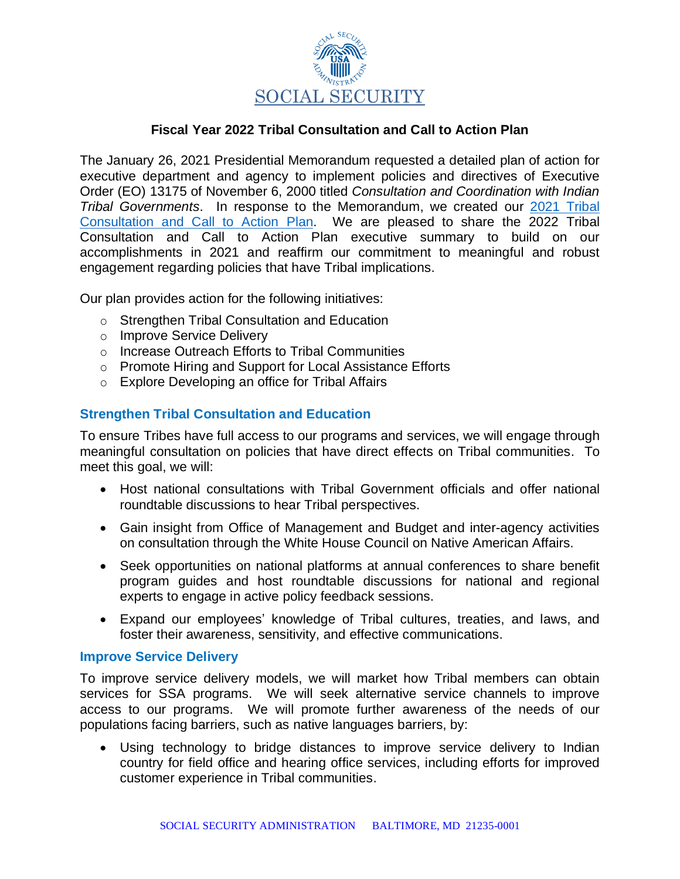

# **Fiscal Year 2022 Tribal Consultation and Call to Action Plan**

The January 26, 2021 Presidential Memorandum requested a detailed plan of action for executive department and agency to implement policies and directives of Executive Order (EO) 13175 of November 6, 2000 titled *Consultation and Coordination with Indian Tribal Governments*. In response to the Memorandum, we created our [2021 Tribal](https://www.ssa.gov/people/aian/materials/pdfs/SSA_Tribal_Consultation_Call_To_Action_Plan-FY21.pdf)  [Consultation and Call to Action Plan.](https://www.ssa.gov/people/aian/materials/pdfs/SSA_Tribal_Consultation_Call_To_Action_Plan-FY21.pdf) We are pleased to share the 2022 Tribal Consultation and Call to Action Plan executive summary to build on our accomplishments in 2021 and reaffirm our commitment to meaningful and robust engagement regarding policies that have Tribal implications.

Our plan provides action for the following initiatives:

- o Strengthen Tribal Consultation and Education
- o Improve Service Delivery
- o Increase Outreach Efforts to Tribal Communities
- o Promote Hiring and Support for Local Assistance Efforts
- o Explore Developing an office for Tribal Affairs

# **Strengthen Tribal Consultation and Education**

To ensure Tribes have full access to our programs and services, we will engage through meaningful consultation on policies that have direct effects on Tribal communities. To meet this goal, we will:

- Host national consultations with Tribal Government officials and offer national roundtable discussions to hear Tribal perspectives.
- Gain insight from Office of Management and Budget and inter-agency activities on consultation through the White House Council on Native American Affairs.
- Seek opportunities on national platforms at annual conferences to share benefit program guides and host roundtable discussions for national and regional experts to engage in active policy feedback sessions.
- Expand our employees' knowledge of Tribal cultures, treaties, and laws, and foster their awareness, sensitivity, and effective communications.

### **Improve Service Delivery**

To improve service delivery models, we will market how Tribal members can obtain services for SSA programs. We will seek alternative service channels to improve access to our programs. We will promote further awareness of the needs of our populations facing barriers, such as native languages barriers, by:

• Using technology to bridge distances to improve service delivery to Indian country for field office and hearing office services, including efforts for improved customer experience in Tribal communities.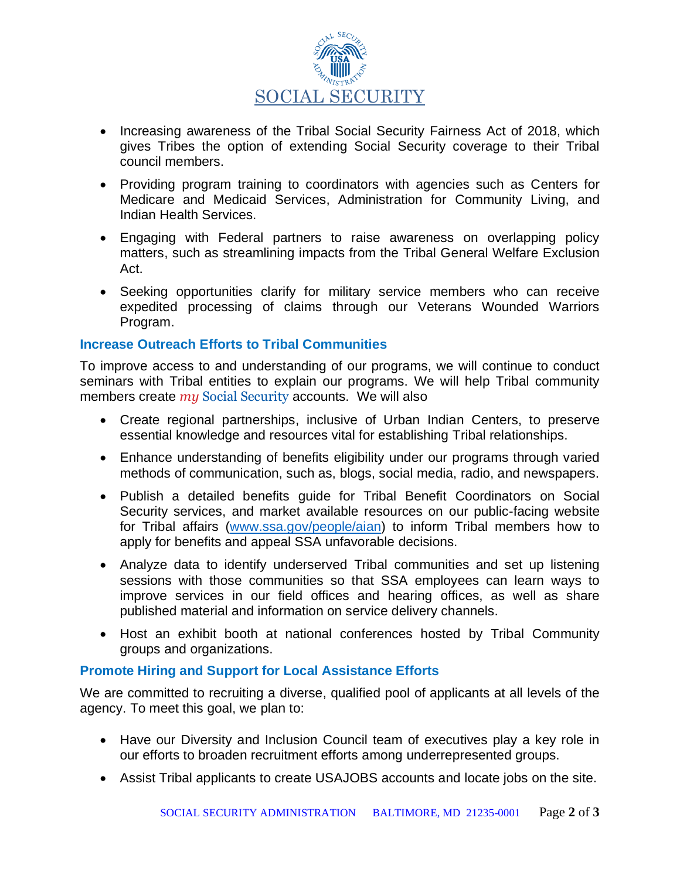

- Increasing awareness of the Tribal Social Security Fairness Act of 2018, which gives Tribes the option of extending Social Security coverage to their Tribal council members.
- Providing program training to coordinators with agencies such as Centers for Medicare and Medicaid Services, Administration for Community Living, and Indian Health Services.
- Engaging with Federal partners to raise awareness on overlapping policy matters, such as streamlining impacts from the Tribal General Welfare Exclusion Act.
- Seeking opportunities clarify for military service members who can receive expedited processing of claims through our Veterans Wounded Warriors Program.

### **Increase Outreach Efforts to Tribal Communities**

To improve access to and understanding of our programs, we will continue to conduct seminars with Tribal entities to explain our programs. We will help Tribal community members create *my* Social Security accounts. We will also

- Create regional partnerships, inclusive of Urban Indian Centers, to preserve essential knowledge and resources vital for establishing Tribal relationships.
- Enhance understanding of benefits eligibility under our programs through varied methods of communication, such as, blogs, social media, radio, and newspapers.
- Publish a detailed benefits guide for Tribal Benefit Coordinators on Social Security services, and market available resources on our public-facing website for Tribal affairs [\(www.ssa.gov/people/aian\)](http://www.ssa.gov/people/aian) to inform Tribal members how to apply for benefits and appeal SSA unfavorable decisions.
- Analyze data to identify underserved Tribal communities and set up listening sessions with those communities so that SSA employees can learn ways to improve services in our field offices and hearing offices, as well as share published material and information on service delivery channels.
- Host an exhibit booth at national conferences hosted by Tribal Community groups and organizations.

# **Promote Hiring and Support for Local Assistance Efforts**

We are committed to recruiting a diverse, qualified pool of applicants at all levels of the agency. To meet this goal, we plan to:

- Have our Diversity and Inclusion Council team of executives play a key role in our efforts to broaden recruitment efforts among underrepresented groups.
- Assist Tribal applicants to create USAJOBS accounts and locate jobs on the site.